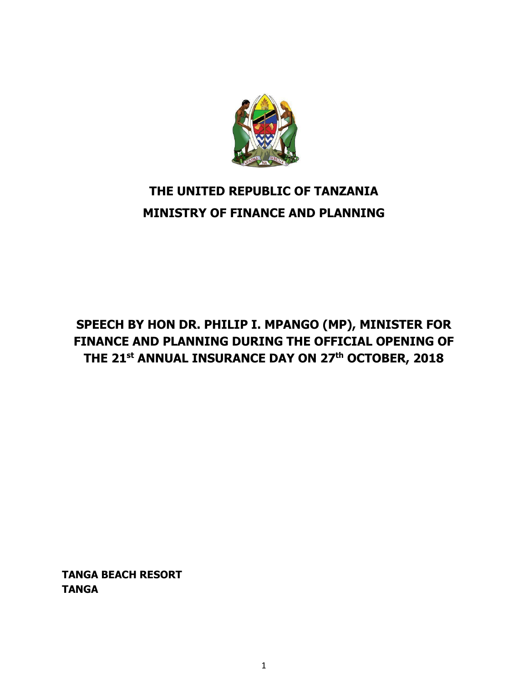

# **THE UNITED REPUBLIC OF TANZANIA MINISTRY OF FINANCE AND PLANNING**

## **SPEECH BY HON DR. PHILIP I. MPANGO (MP), MINISTER FOR FINANCE AND PLANNING DURING THE OFFICIAL OPENING OF THE 21st ANNUAL INSURANCE DAY ON 27th OCTOBER, 2018**

**TANGA BEACH RESORT TANGA**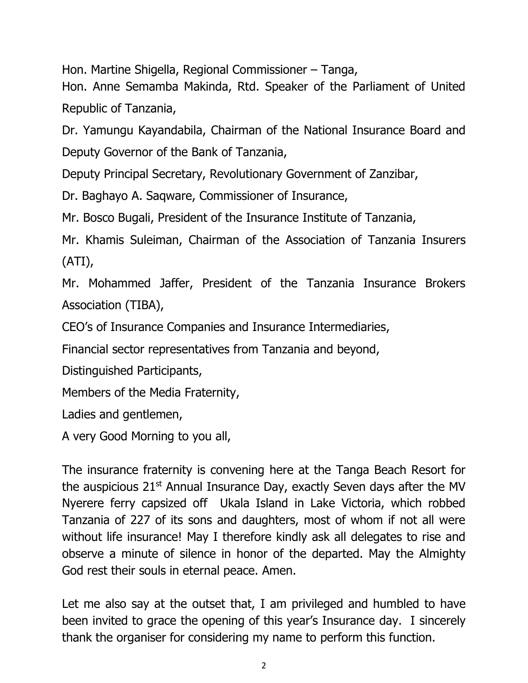Hon. Martine Shigella, Regional Commissioner – Tanga,

Hon. Anne Semamba Makinda, Rtd. Speaker of the Parliament of United Republic of Tanzania,

Dr. Yamungu Kayandabila, Chairman of the National Insurance Board and Deputy Governor of the Bank of Tanzania,

Deputy Principal Secretary, Revolutionary Government of Zanzibar,

Dr. Baghayo A. Saqware, Commissioner of Insurance,

Mr. Bosco Bugali, President of the Insurance Institute of Tanzania,

Mr. Khamis Suleiman, Chairman of the Association of Tanzania Insurers (ATI),

Mr. Mohammed Jaffer, President of the Tanzania Insurance Brokers Association (TIBA),

CEO's of Insurance Companies and Insurance Intermediaries,

Financial sector representatives from Tanzania and beyond,

Distinguished Participants,

Members of the Media Fraternity,

Ladies and gentlemen,

A very Good Morning to you all,

The insurance fraternity is convening here at the Tanga Beach Resort for the auspicious  $21<sup>st</sup>$  Annual Insurance Day, exactly Seven days after the MV Nyerere ferry capsized off Ukala Island in Lake Victoria, which robbed Tanzania of 227 of its sons and daughters, most of whom if not all were without life insurance! May I therefore kindly ask all delegates to rise and observe a minute of silence in honor of the departed. May the Almighty God rest their souls in eternal peace. Amen.

Let me also say at the outset that, I am privileged and humbled to have been invited to grace the opening of this year's Insurance day. I sincerely thank the organiser for considering my name to perform this function.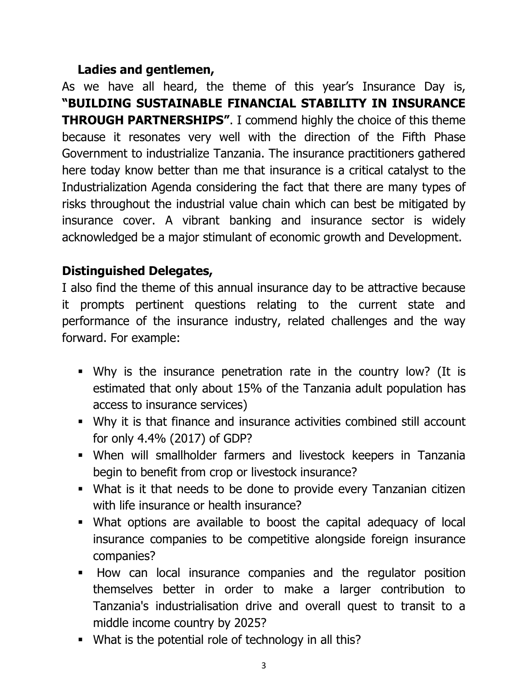#### **Ladies and gentlemen,**

As we have all heard, the theme of this year's Insurance Day is, **"BUILDING SUSTAINABLE FINANCIAL STABILITY IN INSURANCE THROUGH PARTNERSHIPS"**. I commend highly the choice of this theme because it resonates very well with the direction of the Fifth Phase Government to industrialize Tanzania. The insurance practitioners gathered here today know better than me that insurance is a critical catalyst to the Industrialization Agenda considering the fact that there are many types of risks throughout the industrial value chain which can best be mitigated by insurance cover. A vibrant banking and insurance sector is widely acknowledged be a major stimulant of economic growth and Development.

## **Distinguished Delegates,**

I also find the theme of this annual insurance day to be attractive because it prompts pertinent questions relating to the current state and performance of the insurance industry, related challenges and the way forward. For example:

- Why is the insurance penetration rate in the country low? (It is estimated that only about 15% of the Tanzania adult population has access to insurance services)
- Why it is that finance and insurance activities combined still account for only 4.4% (2017) of GDP?
- When will smallholder farmers and livestock keepers in Tanzania begin to benefit from crop or livestock insurance?
- What is it that needs to be done to provide every Tanzanian citizen with life insurance or health insurance?
- What options are available to boost the capital adequacy of local insurance companies to be competitive alongside foreign insurance companies?
- How can local insurance companies and the regulator position themselves better in order to make a larger contribution to Tanzania's industrialisation drive and overall quest to transit to a middle income country by 2025?
- What is the potential role of technology in all this?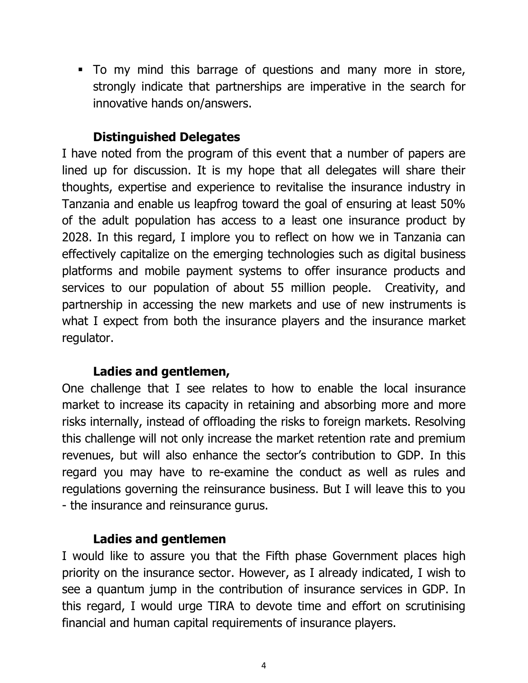To my mind this barrage of questions and many more in store, strongly indicate that partnerships are imperative in the search for innovative hands on/answers.

## **Distinguished Delegates**

I have noted from the program of this event that a number of papers are lined up for discussion. It is my hope that all delegates will share their thoughts, expertise and experience to revitalise the insurance industry in Tanzania and enable us leapfrog toward the goal of ensuring at least 50% of the adult population has access to a least one insurance product by 2028. In this regard, I implore you to reflect on how we in Tanzania can effectively capitalize on the emerging technologies such as digital business platforms and mobile payment systems to offer insurance products and services to our population of about 55 million people. Creativity, and partnership in accessing the new markets and use of new instruments is what I expect from both the insurance players and the insurance market regulator.

#### **Ladies and gentlemen,**

One challenge that I see relates to how to enable the local insurance market to increase its capacity in retaining and absorbing more and more risks internally, instead of offloading the risks to foreign markets. Resolving this challenge will not only increase the market retention rate and premium revenues, but will also enhance the sector's contribution to GDP. In this regard you may have to re-examine the conduct as well as rules and regulations governing the reinsurance business. But I will leave this to you - the insurance and reinsurance gurus.

## **Ladies and gentlemen**

I would like to assure you that the Fifth phase Government places high priority on the insurance sector. However, as I already indicated, I wish to see a quantum jump in the contribution of insurance services in GDP. In this regard, I would urge TIRA to devote time and effort on scrutinising financial and human capital requirements of insurance players.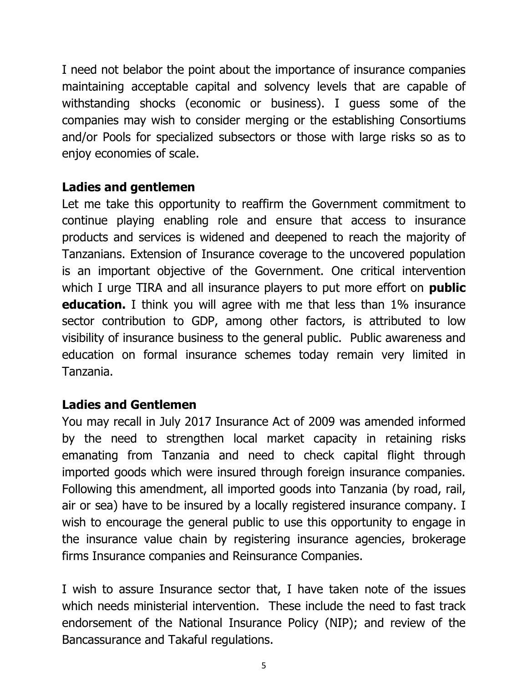I need not belabor the point about the importance of insurance companies maintaining acceptable capital and solvency levels that are capable of withstanding shocks (economic or business). I guess some of the companies may wish to consider merging or the establishing Consortiums and/or Pools for specialized subsectors or those with large risks so as to enjoy economies of scale.

#### **Ladies and gentlemen**

Let me take this opportunity to reaffirm the Government commitment to continue playing enabling role and ensure that access to insurance products and services is widened and deepened to reach the majority of Tanzanians. Extension of Insurance coverage to the uncovered population is an important objective of the Government. One critical intervention which I urge TIRA and all insurance players to put more effort on **public education.** I think you will agree with me that less than 1% insurance sector contribution to GDP, among other factors, is attributed to low visibility of insurance business to the general public. Public awareness and education on formal insurance schemes today remain very limited in Tanzania.

#### **Ladies and Gentlemen**

You may recall in July 2017 Insurance Act of 2009 was amended informed by the need to strengthen local market capacity in retaining risks emanating from Tanzania and need to check capital flight through imported goods which were insured through foreign insurance companies. Following this amendment, all imported goods into Tanzania (by road, rail, air or sea) have to be insured by a locally registered insurance company. I wish to encourage the general public to use this opportunity to engage in the insurance value chain by registering insurance agencies, brokerage firms Insurance companies and Reinsurance Companies.

I wish to assure Insurance sector that, I have taken note of the issues which needs ministerial intervention. These include the need to fast track endorsement of the National Insurance Policy (NIP); and review of the Bancassurance and Takaful regulations.